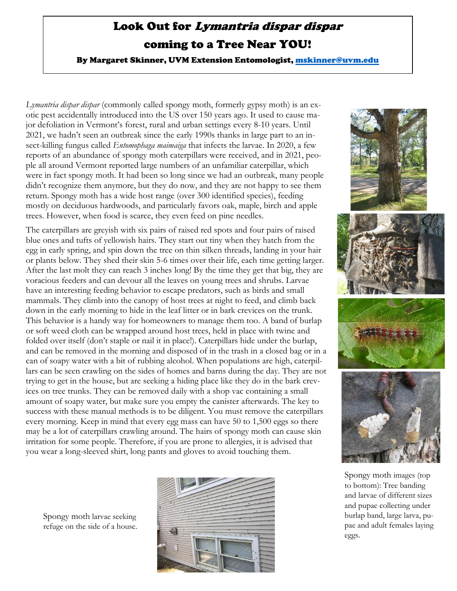## Look Out for Lymantria dispar dispar coming to a Tree Near YOU!

By Margaret Skinner, UVM Extension Entomologist, [mskinner@uvm.edu](mailto:mskinner@uvm.edu)

*Lymantria dispar dispar* (commonly called spongy moth, formerly gypsy moth) is an exotic pest accidentally introduced into the US over 150 years ago. It used to cause major defoliation in Vermont's forest, rural and urban settings every 8-10 years. Until 2021, we hadn't seen an outbreak since the early 1990s thanks in large part to an insect-killing fungus called *Entomophaga maimaiga* that infects the larvae. In 2020, a few reports of an abundance of spongy moth caterpillars were received, and in 2021, people all around Vermont reported large numbers of an unfamiliar caterpillar, which were in fact spongy moth. It had been so long since we had an outbreak, many people didn't recognize them anymore, but they do now, and they are not happy to see them return. Spongy moth has a wide host range (over 300 identified species), feeding mostly on deciduous hardwoods, and particularly favors oak, maple, birch and apple trees. However, when food is scarce, they even feed on pine needles.

The caterpillars are greyish with six pairs of raised red spots and four pairs of raised blue ones and tufts of yellowish hairs. They start out tiny when they hatch from the egg in early spring, and spin down the tree on thin silken threads, landing in your hair or plants below. They shed their skin 5-6 times over their life, each time getting larger. After the last molt they can reach 3 inches long! By the time they get that big, they are voracious feeders and can devour all the leaves on young trees and shrubs. Larvae have an interesting feeding behavior to escape predators, such as birds and small mammals. They climb into the canopy of host trees at night to feed, and climb back down in the early morning to hide in the leaf litter or in bark crevices on the trunk. This behavior is a handy way for homeowners to manage them too. A band of burlap or soft weed cloth can be wrapped around host trees, held in place with twine and folded over itself (don't staple or nail it in place!). Caterpillars hide under the burlap, and can be removed in the morning and disposed of in the trash in a closed bag or in a can of soapy water with a bit of rubbing alcohol. When populations are high, caterpillars can be seen crawling on the sides of homes and barns during the day. They are not trying to get in the house, but are seeking a hiding place like they do in the bark crevices on tree trunks. They can be removed daily with a shop vac containing a small amount of soapy water, but make sure you empty the canister afterwards. The key to success with these manual methods is to be diligent. You must remove the caterpillars every morning. Keep in mind that every egg mass can have 50 to 1,500 eggs so there may be a lot of caterpillars crawling around. The hairs of spongy moth can cause skin irritation for some people. Therefore, if you are prone to allergies, it is advised that you wear a long-sleeved shirt, long pants and gloves to avoid touching them.







to bottom): Tree banding and larvae of different sizes and pupae collecting under burlap band, large larva, pupae and adult females laying eggs.